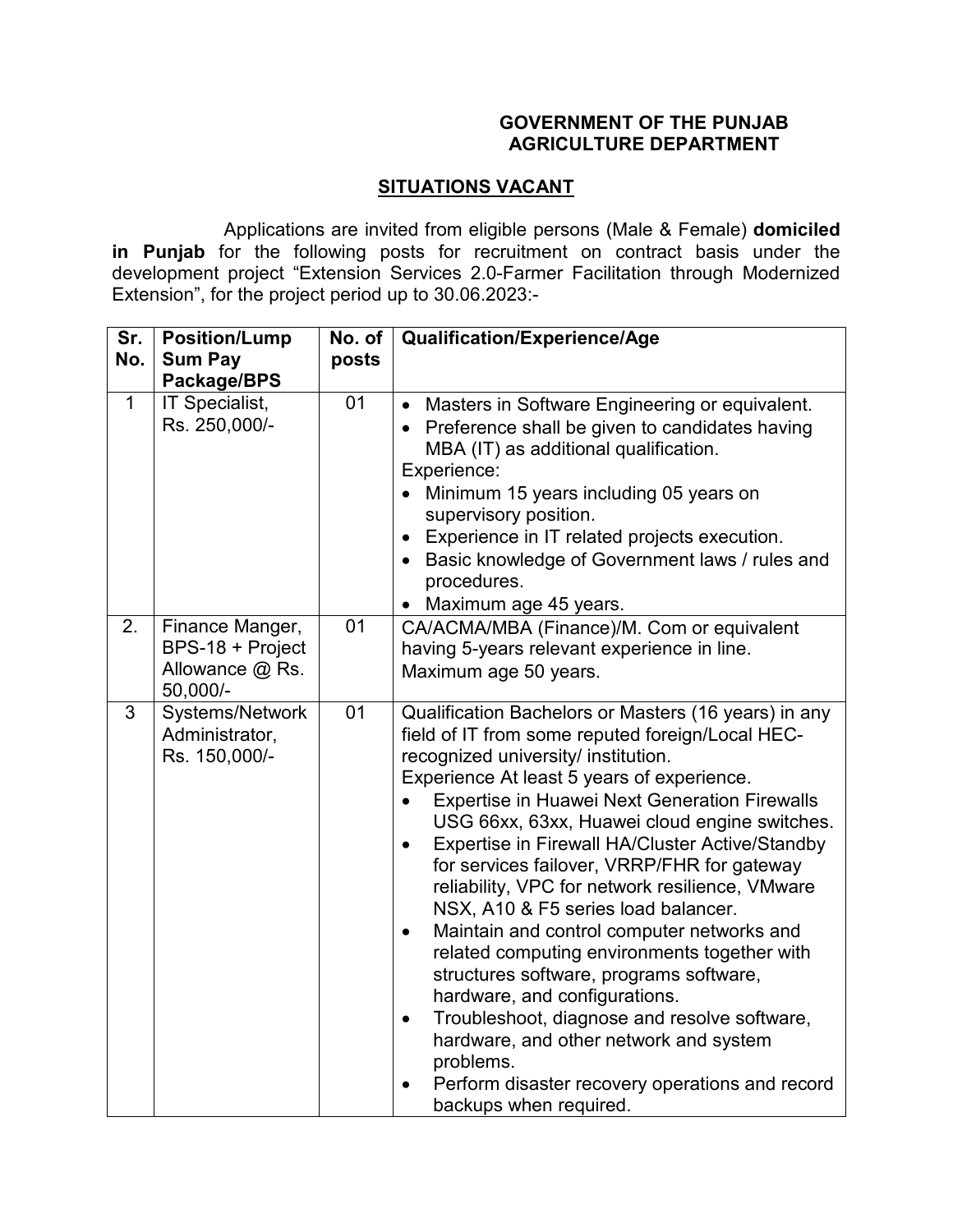## **GOVERNMENT OF THE PUNJAB AGRICULTURE DEPARTMENT**

## **SITUATIONS VACANT**

 Applications are invited from eligible persons (Male & Female) **domiciled in Punjab** for the following posts for recruitment on contract basis under the development project "Extension Services 2.0-Farmer Facilitation through Modernized Extension", for the project period up to 30.06.2023:-

| Sr.<br>No.   | <b>Position/Lump</b><br><b>Sum Pay</b><br>Package/BPS              | No. of<br>posts | Qualification/Experience/Age                                                                                                                                                                                                                                                                                                                                                                                                                                                                                                                                                                                                                                                                                                                                                                                                                                                                                         |
|--------------|--------------------------------------------------------------------|-----------------|----------------------------------------------------------------------------------------------------------------------------------------------------------------------------------------------------------------------------------------------------------------------------------------------------------------------------------------------------------------------------------------------------------------------------------------------------------------------------------------------------------------------------------------------------------------------------------------------------------------------------------------------------------------------------------------------------------------------------------------------------------------------------------------------------------------------------------------------------------------------------------------------------------------------|
| $\mathbf{1}$ | IT Specialist,<br>Rs. 250,000/-                                    | 01              | • Masters in Software Engineering or equivalent.<br>• Preference shall be given to candidates having<br>MBA (IT) as additional qualification.<br>Experience:<br>• Minimum 15 years including 05 years on<br>supervisory position.<br>Experience in IT related projects execution.<br>$\bullet$<br>Basic knowledge of Government laws / rules and<br>$\bullet$<br>procedures.<br>• Maximum age 45 years.                                                                                                                                                                                                                                                                                                                                                                                                                                                                                                              |
| 2.           | Finance Manger,<br>BPS-18 + Project<br>Allowance @ Rs.<br>50,000/- | 01              | CA/ACMA/MBA (Finance)/M. Com or equivalent<br>having 5-years relevant experience in line.<br>Maximum age 50 years.                                                                                                                                                                                                                                                                                                                                                                                                                                                                                                                                                                                                                                                                                                                                                                                                   |
| 3            | Systems/Network<br>Administrator,<br>Rs. 150,000/-                 | 01              | Qualification Bachelors or Masters (16 years) in any<br>field of IT from some reputed foreign/Local HEC-<br>recognized university/ institution.<br>Experience At least 5 years of experience.<br><b>Expertise in Huawei Next Generation Firewalls</b><br>USG 66xx, 63xx, Huawei cloud engine switches.<br>Expertise in Firewall HA/Cluster Active/Standby<br>$\bullet$<br>for services failover, VRRP/FHR for gateway<br>reliability, VPC for network resilience, VMware<br>NSX, A10 & F5 series load balancer.<br>Maintain and control computer networks and<br>$\bullet$<br>related computing environments together with<br>structures software, programs software,<br>hardware, and configurations.<br>Troubleshoot, diagnose and resolve software,<br>$\bullet$<br>hardware, and other network and system<br>problems.<br>Perform disaster recovery operations and record<br>$\bullet$<br>backups when required. |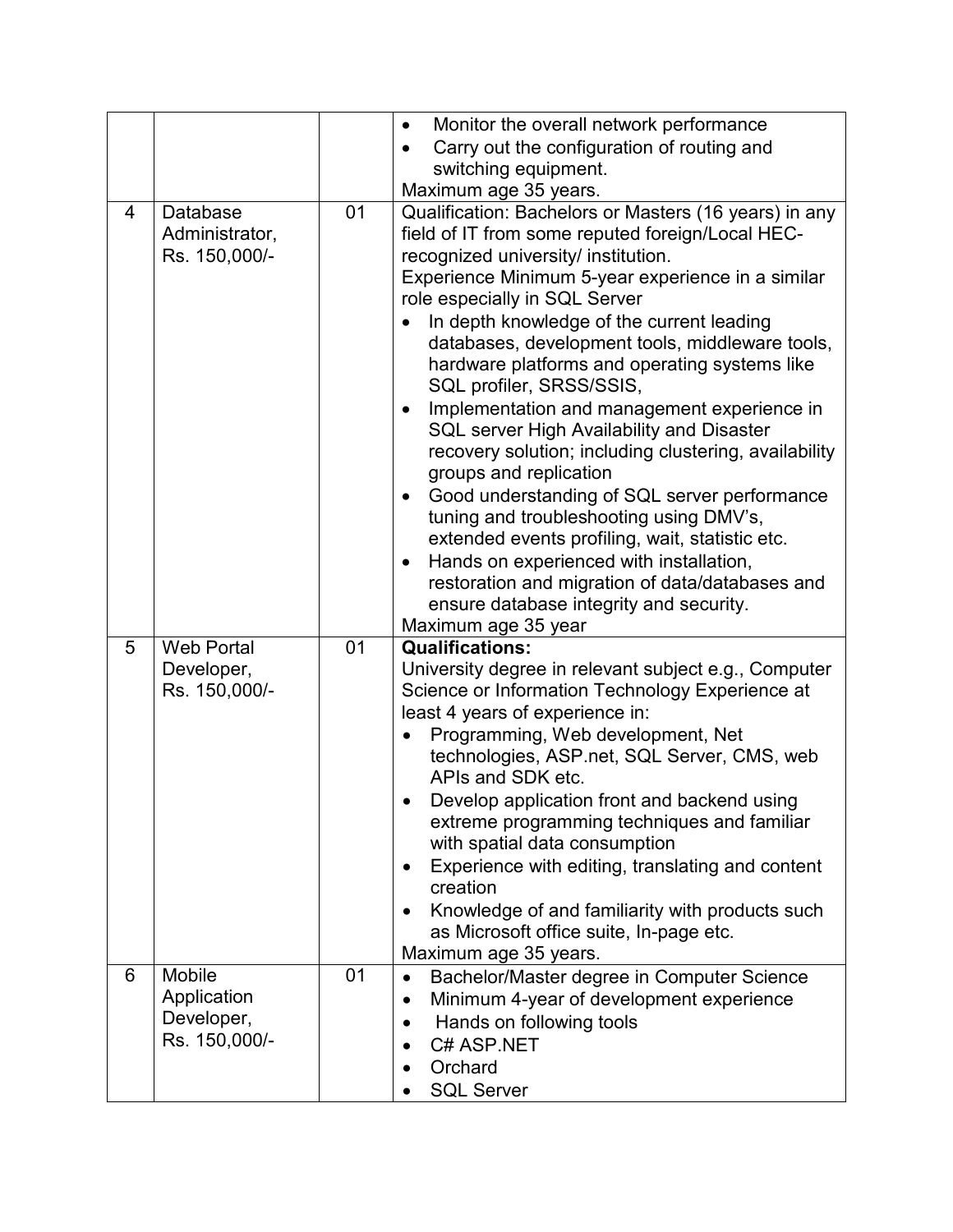|   |                                                             |    | Monitor the overall network performance<br>$\bullet$                                                                                                                                                                                                                                                                                                                                                                                                                                                                                                                                                                                                                                                                                                                                                                                                                                                                                                    |
|---|-------------------------------------------------------------|----|---------------------------------------------------------------------------------------------------------------------------------------------------------------------------------------------------------------------------------------------------------------------------------------------------------------------------------------------------------------------------------------------------------------------------------------------------------------------------------------------------------------------------------------------------------------------------------------------------------------------------------------------------------------------------------------------------------------------------------------------------------------------------------------------------------------------------------------------------------------------------------------------------------------------------------------------------------|
|   |                                                             |    | Carry out the configuration of routing and                                                                                                                                                                                                                                                                                                                                                                                                                                                                                                                                                                                                                                                                                                                                                                                                                                                                                                              |
|   |                                                             |    | switching equipment.                                                                                                                                                                                                                                                                                                                                                                                                                                                                                                                                                                                                                                                                                                                                                                                                                                                                                                                                    |
|   |                                                             |    | Maximum age 35 years.                                                                                                                                                                                                                                                                                                                                                                                                                                                                                                                                                                                                                                                                                                                                                                                                                                                                                                                                   |
| 4 | Database<br>Administrator,<br>Rs. 150,000/-                 | 01 | Qualification: Bachelors or Masters (16 years) in any<br>field of IT from some reputed foreign/Local HEC-<br>recognized university/ institution.<br>Experience Minimum 5-year experience in a similar<br>role especially in SQL Server<br>In depth knowledge of the current leading<br>databases, development tools, middleware tools,<br>hardware platforms and operating systems like<br>SQL profiler, SRSS/SSIS,<br>Implementation and management experience in<br>$\bullet$<br>SQL server High Availability and Disaster<br>recovery solution; including clustering, availability<br>groups and replication<br>Good understanding of SQL server performance<br>$\bullet$<br>tuning and troubleshooting using DMV's,<br>extended events profiling, wait, statistic etc.<br>Hands on experienced with installation,<br>$\bullet$<br>restoration and migration of data/databases and<br>ensure database integrity and security.<br>Maximum age 35 year |
| 5 | <b>Web Portal</b>                                           | 01 | <b>Qualifications:</b>                                                                                                                                                                                                                                                                                                                                                                                                                                                                                                                                                                                                                                                                                                                                                                                                                                                                                                                                  |
|   | Developer,<br>Rs. 150,000/-                                 |    | University degree in relevant subject e.g., Computer<br>Science or Information Technology Experience at<br>least 4 years of experience in:<br>Programming, Web development, Net<br>technologies, ASP.net, SQL Server, CMS, web<br>APIs and SDK etc.<br>Develop application front and backend using<br>extreme programming techniques and familiar<br>with spatial data consumption<br>Experience with editing, translating and content<br>$\bullet$<br>creation<br>Knowledge of and familiarity with products such<br>$\bullet$<br>as Microsoft office suite, In-page etc.<br>Maximum age 35 years.                                                                                                                                                                                                                                                                                                                                                     |
| 6 | <b>Mobile</b><br>Application<br>Developer,<br>Rs. 150,000/- | 01 | Bachelor/Master degree in Computer Science<br>$\bullet$<br>Minimum 4-year of development experience<br>$\bullet$<br>Hands on following tools<br>$\bullet$<br>C# ASP.NET<br>Orchard<br><b>SQL Server</b>                                                                                                                                                                                                                                                                                                                                                                                                                                                                                                                                                                                                                                                                                                                                                 |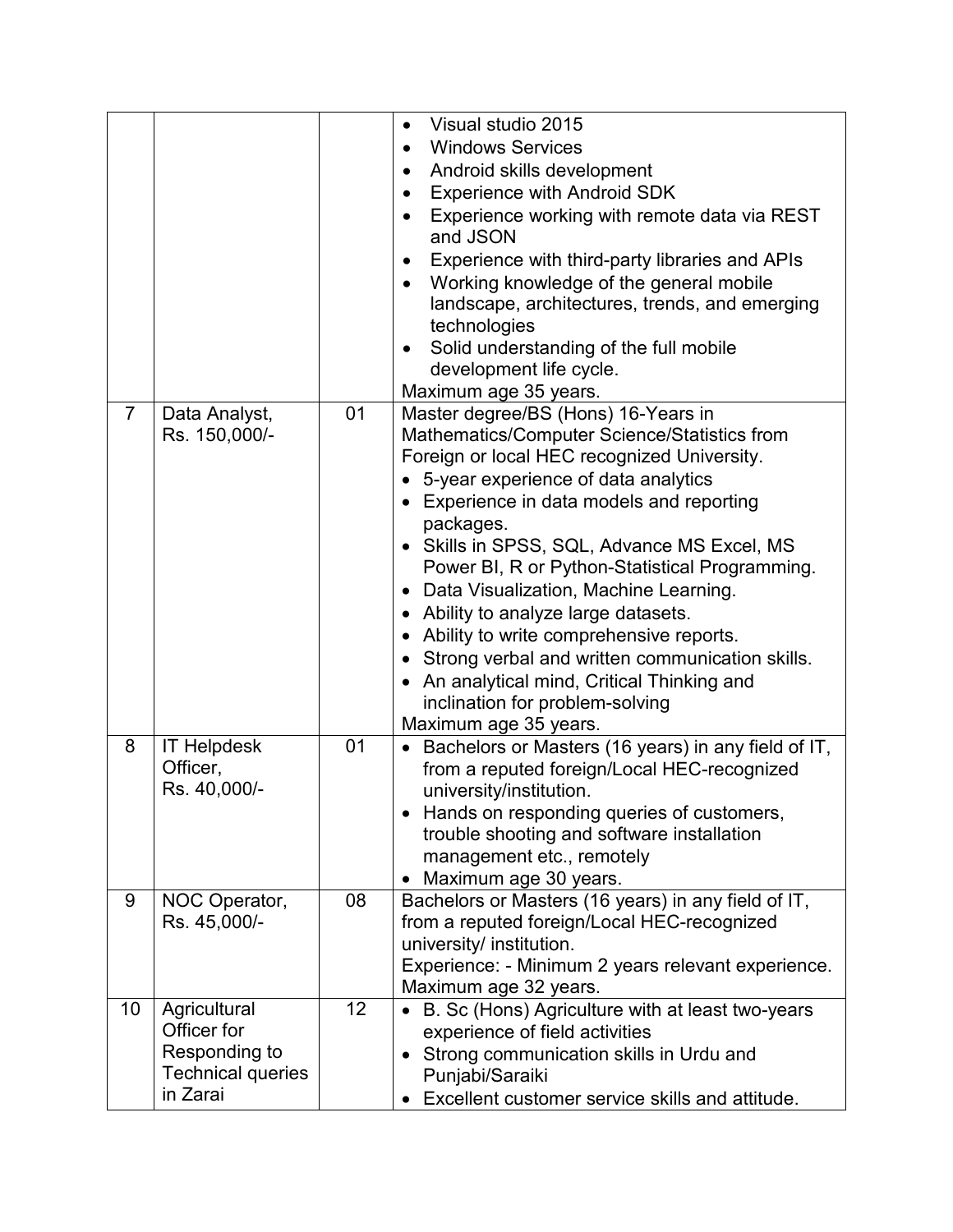|                |                          |    | Visual studio 2015<br>$\bullet$                                             |
|----------------|--------------------------|----|-----------------------------------------------------------------------------|
|                |                          |    | <b>Windows Services</b><br>$\bullet$                                        |
|                |                          |    | Android skills development<br>$\bullet$                                     |
|                |                          |    | <b>Experience with Android SDK</b><br>$\bullet$                             |
|                |                          |    | Experience working with remote data via REST<br>$\bullet$                   |
|                |                          |    | and JSON                                                                    |
|                |                          |    | Experience with third-party libraries and APIs<br>$\bullet$                 |
|                |                          |    | Working knowledge of the general mobile<br>$\bullet$                        |
|                |                          |    | landscape, architectures, trends, and emerging                              |
|                |                          |    | technologies                                                                |
|                |                          |    | Solid understanding of the full mobile<br>$\bullet$                         |
|                |                          |    | development life cycle.                                                     |
|                |                          |    | Maximum age 35 years.                                                       |
| $\overline{7}$ | Data Analyst,            | 01 | Master degree/BS (Hons) 16-Years in                                         |
|                | Rs. 150,000/-            |    | Mathematics/Computer Science/Statistics from                                |
|                |                          |    | Foreign or local HEC recognized University.                                 |
|                |                          |    | • 5-year experience of data analytics                                       |
|                |                          |    | Experience in data models and reporting                                     |
|                |                          |    | packages.                                                                   |
|                |                          |    | • Skills in SPSS, SQL, Advance MS Excel, MS                                 |
|                |                          |    | Power BI, R or Python-Statistical Programming.                              |
|                |                          |    | Data Visualization, Machine Learning.<br>$\bullet$                          |
|                |                          |    | • Ability to analyze large datasets.                                        |
|                |                          |    | Ability to write comprehensive reports.<br>$\bullet$                        |
|                |                          |    | • Strong verbal and written communication skills.                           |
|                |                          |    | An analytical mind, Critical Thinking and                                   |
|                |                          |    | inclination for problem-solving                                             |
|                |                          |    | Maximum age 35 years.                                                       |
| 8              | <b>IT Helpdesk</b>       | 01 | • Bachelors or Masters (16 years) in any field of IT,                       |
|                | Officer,                 |    | from a reputed foreign/Local HEC-recognized                                 |
|                | Rs. 40,000/-             |    | university/institution.                                                     |
|                |                          |    | Hands on responding queries of customers,<br>$\bullet$                      |
|                |                          |    | trouble shooting and software installation                                  |
|                |                          |    | management etc., remotely                                                   |
|                |                          |    | Maximum age 30 years.                                                       |
| 9              | NOC Operator,            | 08 | Bachelors or Masters (16 years) in any field of IT,                         |
|                | Rs. 45,000/-             |    | from a reputed foreign/Local HEC-recognized                                 |
|                |                          |    | university/ institution.                                                    |
|                |                          |    | Experience: - Minimum 2 years relevant experience.<br>Maximum age 32 years. |
| 10             | Agricultural             | 12 | B. Sc (Hons) Agriculture with at least two-years                            |
|                | Officer for              |    | experience of field activities                                              |
|                | Responding to            |    | Strong communication skills in Urdu and                                     |
|                | <b>Technical queries</b> |    | Punjabi/Saraiki                                                             |
|                | in Zarai                 |    | Excellent customer service skills and attitude.                             |
|                |                          |    |                                                                             |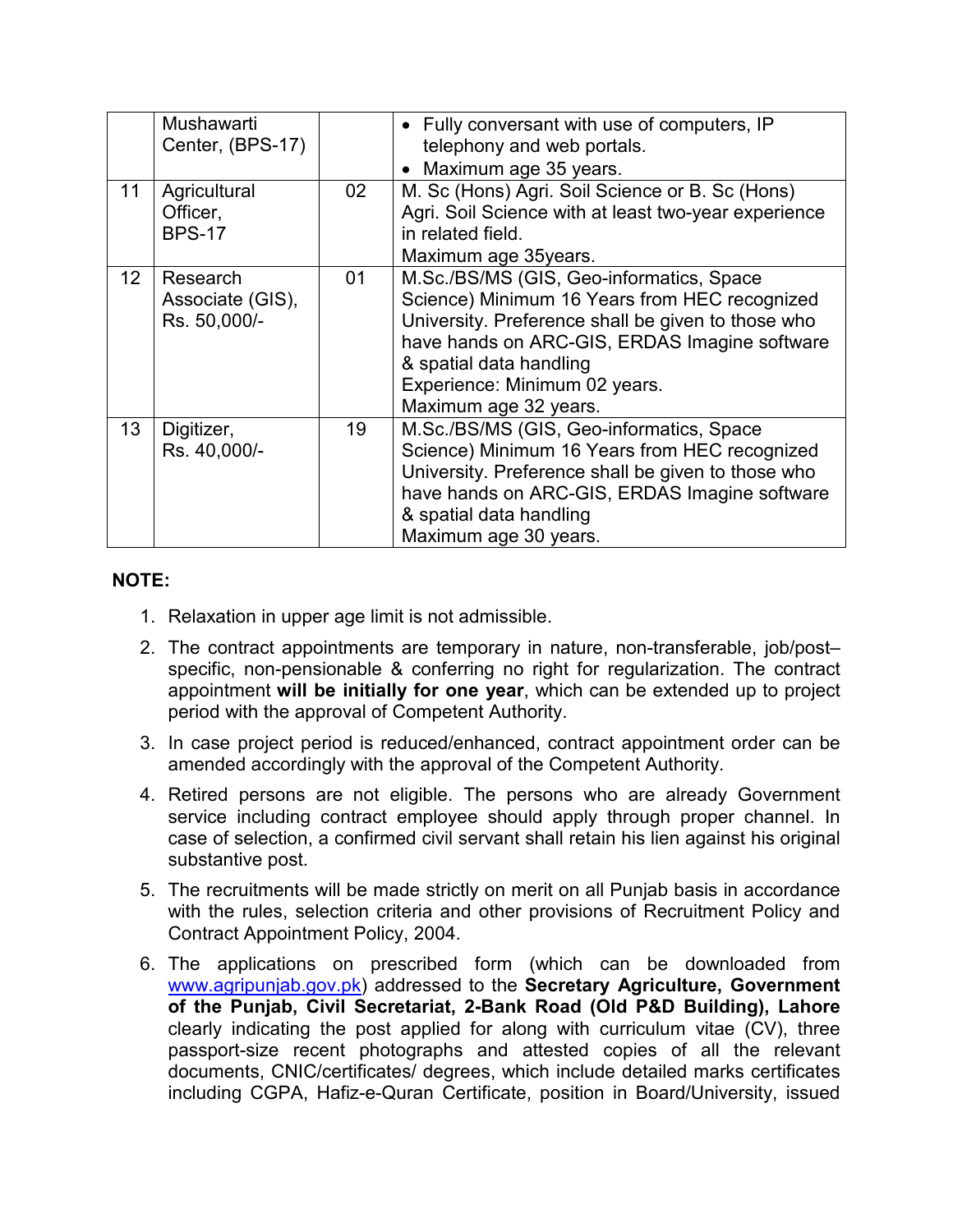|                 | Mushawarti<br>Center, (BPS-17)               |    | • Fully conversant with use of computers, IP<br>telephony and web portals.<br>• Maximum age 35 years.                                                                                                                                                                                 |
|-----------------|----------------------------------------------|----|---------------------------------------------------------------------------------------------------------------------------------------------------------------------------------------------------------------------------------------------------------------------------------------|
| 11              | Agricultural<br>Officer,<br><b>BPS-17</b>    | 02 | M. Sc (Hons) Agri. Soil Science or B. Sc (Hons)<br>Agri. Soil Science with at least two-year experience<br>in related field.<br>Maximum age 35years.                                                                                                                                  |
| 12 <sup>°</sup> | Research<br>Associate (GIS),<br>Rs. 50,000/- | 01 | M.Sc./BS/MS (GIS, Geo-informatics, Space<br>Science) Minimum 16 Years from HEC recognized<br>University. Preference shall be given to those who<br>have hands on ARC-GIS, ERDAS Imagine software<br>& spatial data handling<br>Experience: Minimum 02 years.<br>Maximum age 32 years. |
| 13 <sup>°</sup> | Digitizer,<br>Rs. 40,000/-                   | 19 | M.Sc./BS/MS (GIS, Geo-informatics, Space<br>Science) Minimum 16 Years from HEC recognized<br>University. Preference shall be given to those who<br>have hands on ARC-GIS, ERDAS Imagine software<br>& spatial data handling<br>Maximum age 30 years.                                  |

## **NOTE:**

- 1. Relaxation in upper age limit is not admissible.
- 2. The contract appointments are temporary in nature, non-transferable, job/post– specific, non-pensionable & conferring no right for regularization. The contract appointment **will be initially for one year**, which can be extended up to project period with the approval of Competent Authority.
- 3. In case project period is reduced/enhanced, contract appointment order can be amended accordingly with the approval of the Competent Authority.
- 4. Retired persons are not eligible. The persons who are already Government service including contract employee should apply through proper channel. In case of selection, a confirmed civil servant shall retain his lien against his original substantive post.
- 5. The recruitments will be made strictly on merit on all Punjab basis in accordance with the rules, selection criteria and other provisions of Recruitment Policy and Contract Appointment Policy, 2004.
- 6. The applications on prescribed form (which can be downloaded from www.agripunjab.gov.pk) addressed to the **Secretary Agriculture, Government of the Punjab, Civil Secretariat, 2-Bank Road (Old P&D Building), Lahore** clearly indicating the post applied for along with curriculum vitae (CV), three passport-size recent photographs and attested copies of all the relevant documents, CNIC/certificates/ degrees, which include detailed marks certificates including CGPA, Hafiz-e-Quran Certificate, position in Board/University, issued